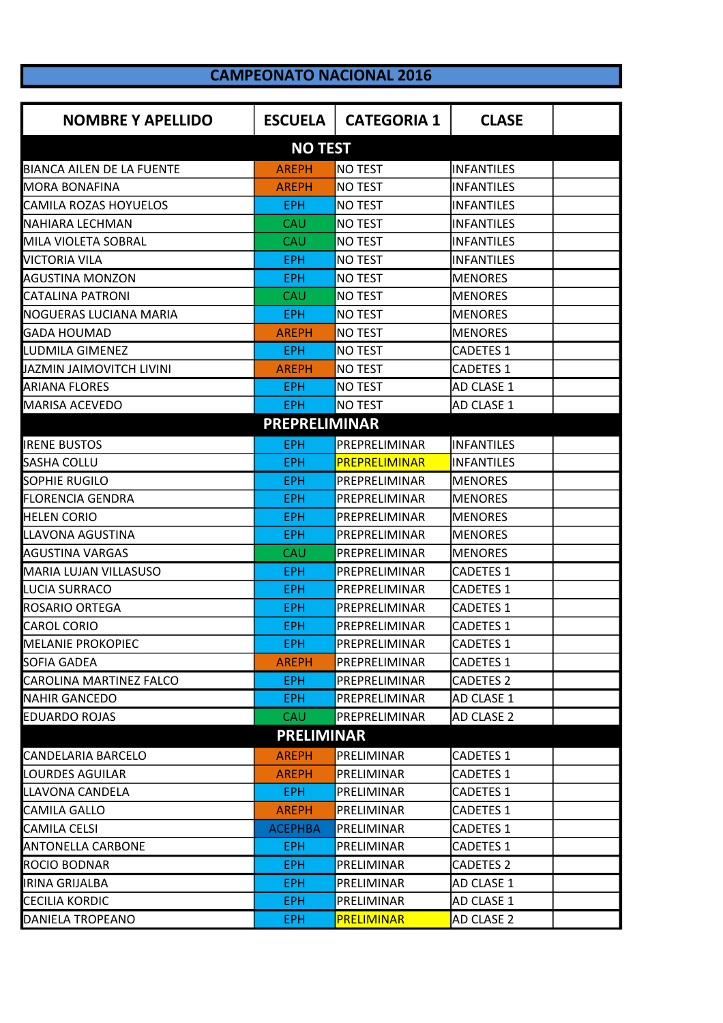## **CAMPEONATO NACIONAL 2016**

| <b>NOMBRE Y APELLIDO</b>         | <b>ESCUELA</b>       | <b>CATEGORIA 1</b> | <b>CLASE</b>      |  |
|----------------------------------|----------------------|--------------------|-------------------|--|
|                                  | <b>NO TEST</b>       |                    |                   |  |
| <b>BIANCA AILEN DE LA FUENTE</b> | <b>AREPH</b>         | <b>NO TEST</b>     | <b>INFANTILES</b> |  |
| <b>MORA BONAFINA</b>             | <b>AREPH</b>         | <b>NO TEST</b>     | <b>INFANTILES</b> |  |
| <b>CAMILA ROZAS HOYUELOS</b>     | <b>EPH</b>           | <b>NO TEST</b>     | INFANTILES        |  |
| NAHIARA LECHMAN                  | CAU                  | <b>NO TEST</b>     | <b>INFANTILES</b> |  |
| MILA VIOLETA SOBRAL              | CAU                  | <b>NO TEST</b>     | INFANTILES        |  |
| <b>VICTORIA VILA</b>             | <b>EPH</b>           | <b>NO TEST</b>     | <b>INFANTILES</b> |  |
| <b>AGUSTINA MONZON</b>           | <b>EPH</b>           | <b>NO TEST</b>     | <b>MENORES</b>    |  |
| <b>CATALINA PATRONI</b>          | CAU                  | <b>NO TEST</b>     | <b>MENORES</b>    |  |
| NOGUERAS LUCIANA MARIA           | <b>EPH</b>           | <b>NO TEST</b>     | <b>MENORES</b>    |  |
| <b>GADA HOUMAD</b>               | <b>AREPH</b>         | <b>NO TEST</b>     | <b>MENORES</b>    |  |
| LUDMILA GIMENEZ                  | <b>EPH</b>           | <b>NO TEST</b>     | <b>CADETES 1</b>  |  |
| JAZMIN JAIMOVITCH LIVINI         | <b>AREPH</b>         | NO TEST            | <b>CADETES 1</b>  |  |
| <b>ARIANA FLORES</b>             | EPH.                 | <b>NO TEST</b>     | AD CLASE 1        |  |
| <b>MARISA ACEVEDO</b>            | <b>EPH</b>           | <b>NO TEST</b>     | AD CLASE 1        |  |
|                                  | <b>PREPRELIMINAR</b> |                    |                   |  |
| <b>IRENE BUSTOS</b>              | EPH.                 | PREPRELIMINAR      | <b>INFANTILES</b> |  |
| SASHA COLLU                      | <b>EPH</b>           | PREPRELIMINAR      | <b>INFANTILES</b> |  |
| <b>SOPHIE RUGILO</b>             | <b>EPH</b>           | PREPRELIMINAR      | <b>MENORES</b>    |  |
| <b>FLORENCIA GENDRA</b>          | <b>EPH</b>           | PREPRELIMINAR      | <b>MENORES</b>    |  |
| <b>HELEN CORIO</b>               | <b>EPH</b>           | PREPRELIMINAR      | <b>MENORES</b>    |  |
| LLAVONA AGUSTINA                 | <b>EPH</b>           | PREPRELIMINAR      | <b>MENORES</b>    |  |
| <b>AGUSTINA VARGAS</b>           | CAU                  | PREPRELIMINAR      | <b>MENORES</b>    |  |
| MARIA LUJAN VILLASUSO            | <b>EPH</b>           | PREPRELIMINAR      | <b>CADETES 1</b>  |  |
| LUCIA SURRACO                    | <b>EPH</b>           | PREPRELIMINAR      | <b>CADETES 1</b>  |  |
| ROSARIO ORTEGA                   | <b>EPH</b>           | PREPRELIMINAR      | <b>CADETES 1</b>  |  |
| <b>CAROL CORIO</b>               | <b>EPH</b>           | PREPRELIMINAR      | <b>CADETES 1</b>  |  |
| <b>MELANIE PROKOPIEC</b>         | <b>EPH</b>           | PREPRELIMINAR      | <b>CADETES 1</b>  |  |
| SOFIA GADEA                      | <b>AREPH</b>         | PREPRELIMINAR      | <b>CADETES 1</b>  |  |
| CAROLINA MARTINEZ FALCO          | EPH.                 | PREPRELIMINAR      | <b>CADETES 2</b>  |  |
| <b>NAHIR GANCEDO</b>             | EPH                  | PREPRELIMINAR      | <b>AD CLASE 1</b> |  |
| <b>EDUARDO ROJAS</b>             | <b>CAU</b>           | PREPRELIMINAR      | AD CLASE 2        |  |
|                                  | <b>PRELIMINAR</b>    |                    |                   |  |
| <b>CANDELARIA BARCELO</b>        | <b>AREPH</b>         | PRELIMINAR         | <b>CADETES 1</b>  |  |
| <b>LOURDES AGUILAR</b>           | <b>AREPH</b>         | PRELIMINAR         | <b>CADETES 1</b>  |  |
| LLAVONA CANDELA                  | EPH                  | PRELIMINAR         | <b>CADETES 1</b>  |  |
| <b>CAMILA GALLO</b>              | <b>AREPH</b>         | PRELIMINAR         | CADETES 1         |  |
| <b>CAMILA CELSI</b>              | <b>ACEPHBA</b>       | PRELIMINAR         | <b>CADETES 1</b>  |  |
| <b>ANTONELLA CARBONE</b>         | <b>EPH</b>           | PRELIMINAR         | CADETES 1         |  |
| ROCIO BODNAR                     | <b>EPH</b>           | PRELIMINAR         | <b>CADETES 2</b>  |  |
| <b>IRINA GRIJALBA</b>            | <b>EPH</b>           | PRELIMINAR         | AD CLASE 1        |  |
| <b>CECILIA KORDIC</b>            | <b>EPH</b>           | PRELIMINAR         | AD CLASE 1        |  |
| DANIELA TROPEANO                 | <b>EPH</b>           | <b>PRELIMINAR</b>  | AD CLASE 2        |  |